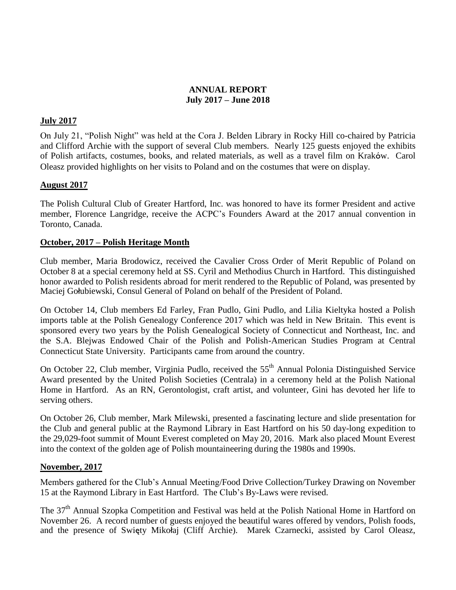# **ANNUAL REPORT July 2017 – June 2018**

# **July 2017**

On July 21, "Polish Night" was held at the Cora J. Belden Library in Rocky Hill co-chaired by Patricia and Clifford Archie with the support of several Club members. Nearly 125 guests enjoyed the exhibits of Polish artifacts, costumes, books, and related materials, as well as a travel film on Kraków. Carol Oleasz provided highlights on her visits to Poland and on the costumes that were on display.

## **August 2017**

The Polish Cultural Club of Greater Hartford, Inc. was honored to have its former President and active member, Florence Langridge, receive the ACPC's Founders Award at the 2017 annual convention in Toronto, Canada.

## **October, 2017 – Polish Heritage Month**

Club member, Maria Brodowicz, received the Cavalier Cross Order of Merit Republic of Poland on October 8 at a special ceremony held at SS. Cyril and Methodius Church in Hartford. This distinguished honor awarded to Polish residents abroad for merit rendered to the Republic of Poland, was presented by Maciej Gołubiewski, Consul General of Poland on behalf of the President of Poland.

On October 14, Club members Ed Farley, Fran Pudlo, Gini Pudlo, and Lilia Kieltyka hosted a Polish imports table at the Polish Genealogy Conference 2017 which was held in New Britain. This event is sponsored every two years by the Polish Genealogical Society of Connecticut and Northeast, Inc. and the S.A. Blejwas Endowed Chair of the Polish and Polish-American Studies Program at Central Connecticut State University. Participants came from around the country.

On October 22, Club member, Virginia Pudlo, received the 55<sup>th</sup> Annual Polonia Distinguished Service Award presented by the United Polish Societies (Centrala) in a ceremony held at the Polish National Home in Hartford. As an RN, Gerontologist, craft artist, and volunteer, Gini has devoted her life to serving others.

On October 26, Club member, Mark Milewski, presented a fascinating lecture and slide presentation for the Club and general public at the Raymond Library in East Hartford on his 50 day-long expedition to the 29,029-foot summit of Mount Everest completed on May 20, 2016. Mark also placed Mount Everest into the context of the golden age of Polish mountaineering during the 1980s and 1990s.

## **November, 2017**

Members gathered for the Club's Annual Meeting/Food Drive Collection/Turkey Drawing on November 15 at the Raymond Library in East Hartford. The Club's By-Laws were revised.

The 37<sup>th</sup> Annual Szopka Competition and Festival was held at the Polish National Home in Hartford on November 26. A record number of guests enjoyed the beautiful wares offered by vendors, Polish foods, and the presence of Swięty Mikołaj (Cliff Archie). Marek Czarnecki, assisted by Carol Oleasz,